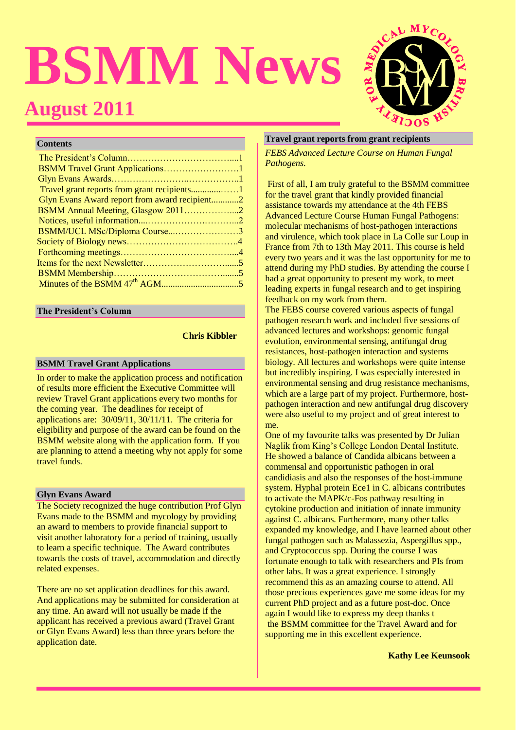# **BSMM News August 2011**



## **Contents**

| BSMM Travel Grant Applications1               |  |
|-----------------------------------------------|--|
|                                               |  |
|                                               |  |
| Glyn Evans Award report from award recipient2 |  |
| BSMM Annual Meeting, Glasgow 20112            |  |
|                                               |  |
| BSMM/UCL MSc/Diploma Course3                  |  |
|                                               |  |
|                                               |  |
|                                               |  |
|                                               |  |
|                                               |  |
|                                               |  |

#### **The President's Column**

## **Chris Kibbler**

#### **BSMM Travel Grant Applications**

In order to make the application process and notification of results more efficient the Executive Committee will review Travel Grant applications every two months for the coming year. The deadlines for receipt of applications are: 30/09/11, 30/11/11. The criteria for eligibility and purpose of the award can be found on the BSMM website along with the application form. If you are planning to attend a meeting why not apply for some travel funds.

#### **Glyn Evans Award**

The Society recognized the huge contribution Prof Glyn Evans made to the BSMM and mycology by providing an award to members to provide financial support to visit another laboratory for a period of training, usually to learn a specific technique. The Award contributes towards the costs of travel, accommodation and directly related expenses.

There are no set application deadlines for this award. And applications may be submitted for consideration at any time. An award will not usually be made if the applicant has received a previous award (Travel Grant or Glyn Evans Award) less than three years before the application date.

#### **Travel grant reports from grant recipients**

*FEBS Advanced Lecture Course on Human Fungal Pathogens.*

First of all, I am truly grateful to the BSMM committee for the travel grant that kindly provided financial assistance towards my attendance at the 4th FEBS Advanced Lecture Course Human Fungal Pathogens: molecular mechanisms of host-pathogen interactions and virulence, which took place in La Colle sur Loup in France from 7th to 13th May 2011. This course is held every two years and it was the last opportunity for me to attend during my PhD studies. By attending the course I had a great opportunity to present my work, to meet leading experts in fungal research and to get inspiring feedback on my work from them.

The FEBS course covered various aspects of fungal pathogen research work and included five sessions of advanced lectures and workshops: genomic fungal evolution, environmental sensing, antifungal drug resistances, host-pathogen interaction and systems biology. All lectures and workshops were quite intense but incredibly inspiring. I was especially interested in environmental sensing and drug resistance mechanisms, which are a large part of my project. Furthermore, hostpathogen interaction and new antifungal drug discovery were also useful to my project and of great interest to me.

One of my favourite talks was presented by Dr Julian Naglik from King's College London Dental Institute. He showed a balance of Candida albicans between a commensal and opportunistic pathogen in oral candidiasis and also the responses of the host-immune system. Hyphal protein Ece1 in C. albicans contributes to activate the MAPK/c-Fos pathway resulting in cytokine production and initiation of innate immunity against C. albicans. Furthermore, many other talks expanded my knowledge, and I have learned about other fungal pathogen such as Malassezia, Aspergillus spp., and Cryptococcus spp. During the course I was fortunate enough to talk with researchers and PIs from other labs. It was a great experience. I strongly recommend this as an amazing course to attend. All those precious experiences gave me some ideas for my current PhD project and as a future post-doc. Once again I would like to express my deep thanks t the BSMM committee for the Travel Award and for supporting me in this excellent experience.

#### **Kathy Lee Keunsook**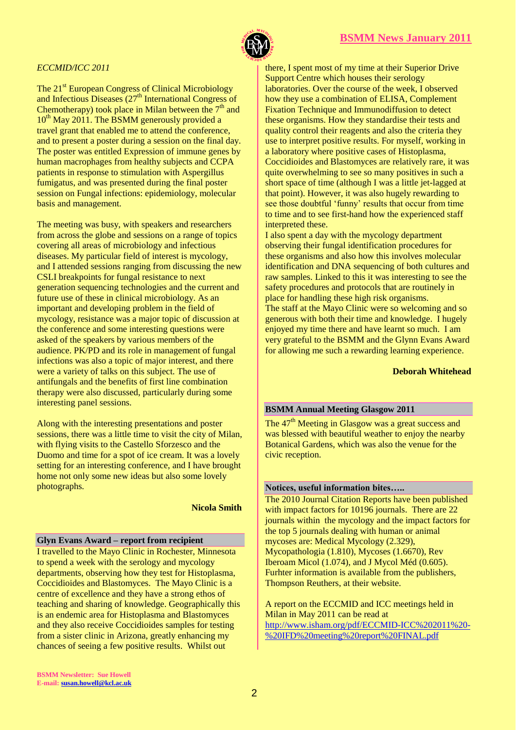



## *ECCMID/ICC 2011*

The 21<sup>st</sup> European Congress of Clinical Microbiology and Infectious Diseases  $(27<sup>th</sup> International Congress of$ Chemotherapy) took place in Milan between the  $7<sup>th</sup>$  and  $10^{th}$  May 2011. The BSMM generously provided a travel grant that enabled me to attend the conference, and to present a poster during a session on the final day. The poster was entitled Expression of immune genes by human macrophages from healthy subjects and CCPA patients in response to stimulation with Aspergillus fumigatus, and was presented during the final poster session on Fungal infections: epidemiology, molecular basis and management.

The meeting was busy, with speakers and researchers from across the globe and sessions on a range of topics covering all areas of microbiology and infectious diseases. My particular field of interest is mycology, and I attended sessions ranging from discussing the new CSLI breakpoints for fungal resistance to next generation sequencing technologies and the current and future use of these in clinical microbiology. As an important and developing problem in the field of mycology, resistance was a major topic of discussion at the conference and some interesting questions were asked of the speakers by various members of the audience. PK/PD and its role in management of fungal infections was also a topic of major interest, and there were a variety of talks on this subject. The use of antifungals and the benefits of first line combination therapy were also discussed, particularly during some interesting panel sessions.

Along with the interesting presentations and poster sessions, there was a little time to visit the city of Milan, with flying visits to the Castello Sforzesco and the Duomo and time for a spot of ice cream. It was a lovely setting for an interesting conference, and I have brought home not only some new ideas but also some lovely photographs.

#### **Nicola Smith**

#### **Glyn Evans Award – report from recipient**

I travelled to the Mayo Clinic in Rochester, Minnesota to spend a week with the serology and mycology departments, observing how they test for Histoplasma, Coccidioides and Blastomyces. The Mayo Clinic is a centre of excellence and they have a strong ethos of teaching and sharing of knowledge. Geographically this is an endemic area for Histoplasma and Blastomyces and they also receive Coccidioides samples for testing from a sister clinic in Arizona, greatly enhancing my chances of seeing a few positive results. Whilst out

there, I spent most of my time at their Superior Drive Support Centre which houses their serology laboratories. Over the course of the week, I observed how they use a combination of ELISA, Complement Fixation Technique and Immunodiffusion to detect these organisms. How they standardise their tests and quality control their reagents and also the criteria they use to interpret positive results. For myself, working in a laboratory where positive cases of Histoplasma, Coccidioides and Blastomyces are relatively rare, it was quite overwhelming to see so many positives in such a short space of time (although I was a little jet-lagged at that point). However, it was also hugely rewarding to see those doubtful 'funny' results that occur from time to time and to see first-hand how the experienced staff interpreted these.

I also spent a day with the mycology department observing their fungal identification procedures for these organisms and also how this involves molecular identification and DNA sequencing of both cultures and raw samples. Linked to this it was interesting to see the safety procedures and protocols that are routinely in place for handling these high risk organisms. The staff at the Mayo Clinic were so welcoming and so generous with both their time and knowledge. I hugely enjoyed my time there and have learnt so much. I am very grateful to the BSMM and the Glynn Evans Award for allowing me such a rewarding learning experience.

#### **Deborah Whitehead**

## **BSMM Annual Meeting Glasgow 2011**

The 47<sup>th</sup> Meeting in Glasgow was a great success and was blessed with beautiful weather to enjoy the nearby Botanical Gardens, which was also the venue for the civic reception.

## **Notices, useful information bites…..**

The 2010 Journal Citation Reports have been published with impact factors for 10196 journals. There are 22 journals within the mycology and the impact factors for the top 5 journals dealing with human or animal mycoses are: Medical Mycology (2.329), Mycopathologia (1.810), Mycoses (1.6670), Rev Iberoam Micol (1.074), and J Mycol Méd (0.605). Furhter information is available from the publishers, Thompson Reuthers, at their website.

A report on the ECCMID and ICC meetings held in Milan in May 2011 can be read at [http://www.isham.org/pdf/ECCMID-ICC%202011%20-](http://www.isham.org/pdf/ECCMID-ICC%202011%20-%20IFD%20meeting%20report%20FINAL.pdf) [%20IFD%20meeting%20report%20FINAL.pdf](http://www.isham.org/pdf/ECCMID-ICC%202011%20-%20IFD%20meeting%20report%20FINAL.pdf)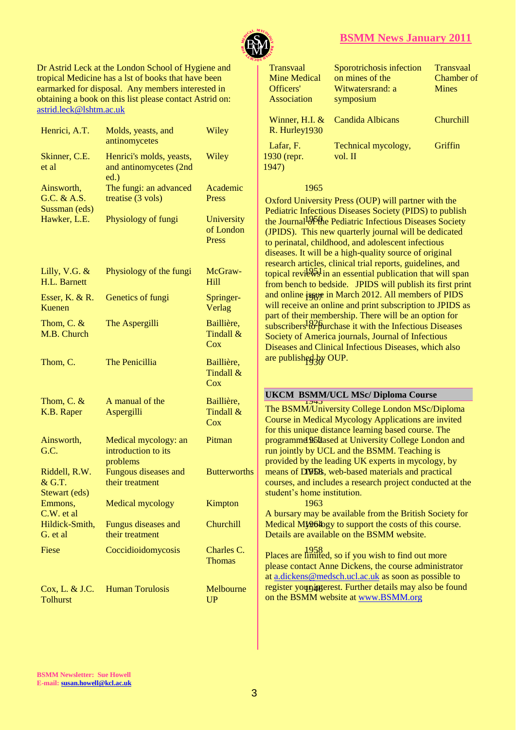

## **BSMM News January 2011**

Dr Astrid Leck at the London School of Hygiene and tropical Medicine has a lst of books that have been earmarked for disposal. Any members interested in obtaining a book on this list please contact Astrid on: [astrid.leck@lshtm.ac.uk](mailto:astrid.leck@lshtm.ac.uk) 

| Henrici, A.T.                              | Molds, yeasts, and<br>antinomycetes                        | Wiley                                 | R. Hurley1930                                                                                                     |
|--------------------------------------------|------------------------------------------------------------|---------------------------------------|-------------------------------------------------------------------------------------------------------------------|
| Skinner, C.E.<br>et al                     | Henrici's molds, yeasts,<br>and antinomycetes (2nd<br>ed.) | Wiley                                 | Lafar, F.<br>1930 (repr.<br>1947)                                                                                 |
| Ainsworth,<br>G.C. & A.S.<br>Sussman (eds) | The fungi: an advanced<br>treatise (3 vols)                | Academic<br>Press                     | 1965<br><b>Oxford Univers</b>                                                                                     |
| Hawker, L.E.                               | Physiology of fungi                                        | University<br>of London<br>Press      | <b>Pediatric Infecti</b><br>the Journal <sup>1</sup><br>(JPIDS). This r<br>to perinatal, chi<br>diseases. It will |
| Lilly, V.G. $&$<br>H.L. Barnett            | Physiology of the fungi                                    | McGraw-<br>Hill                       | research articles<br>topical reviews<br>from bench to b                                                           |
| Esser, K. $& R$ .<br>Kuenen                | Genetics of fungi                                          | Springer-<br>Verlag                   | and online issue<br>will receive an                                                                               |
| Thom, C. $&$<br>M.B. Church                | The Aspergilli                                             | Baillière,<br>Tindall &<br><b>Cox</b> | part of their me<br>subscribers <sup>1826</sup><br><b>Society of Ame</b><br>Diseases and Cl                       |
| Thom, C.                                   | The Penicillia                                             | Baillière,<br>Tindall &<br><b>Cox</b> | are published by                                                                                                  |
| Thom, C. $&$                               | A manual of the                                            | Baillière,                            | <b>UKCM BSMN</b><br>174J                                                                                          |
| K.B. Raper                                 | Aspergilli                                                 | Tindall &<br>Cox                      | The BSMM/Un<br><b>Course in Medi</b><br>for this unique                                                           |
| Ainsworth,<br>G.C.                         | Medical mycology: an<br>introduction to its<br>problems    | Pitman                                | programmed 95 <sup>B</sup><br>run jointly by U<br>provided by the                                                 |
| Riddell, R.W.<br>& G.T.<br>Stewart (eds)   | Fungous diseases and<br>their treatment                    | <b>Butterworths</b>                   | means of DVD8<br>courses, and inc<br>student's home                                                               |
| Emmons,<br>$C.W.$ et al                    | Medical mycology                                           | Kimpton                               | 1963<br>A bursary may                                                                                             |
| Hildick-Smith,<br>G. et al                 | Fungus diseases and<br>their treatment                     | Churchill                             | Medical My964<br>Details are avail                                                                                |
| Fiese                                      | Coccidioidomycosis                                         | Charles C.<br><b>Thomas</b>           | 1958<br>Places are limit<br>please contact A<br>at a.dickens@m                                                    |
| Cox, L. & J.C.<br><b>Tolhurst</b>          | <b>Human Torulosis</b>                                     | Melbourne<br><b>UP</b>                | register youpin<br>on the BSMM v                                                                                  |

| ne and  | <b>Transvaal</b>    | Sporotrichosis infection        | <b>Transvaal</b> |
|---------|---------------------|---------------------------------|------------------|
| been    | <b>Mine Medical</b> | on mines of the                 | Chamber of       |
| ted in  | Officers'           | Witwatersrand: a                | Mines            |
| rid on: | Association         | symposium                       |                  |
|         |                     |                                 |                  |
|         |                     | Winner, H.I. & Candida Albicans | <b>Churchill</b> |
| Wiley   | $R.$ Hurley $1930$  |                                 |                  |
|         | Lafar, F.           | Technical mycology,             | Griffin          |
| Wiley   |                     | vol. II                         |                  |
|         | 1930 (repr.         |                                 |                  |
|         | 1947)               |                                 |                  |

#### 1965

the Journal<sup>1</sup><sup>96</sup>the Pediatric Infectious Diseases Society topical reviews in an essential publication that will span and online issue in March 2012. All members of PIDS subscribers<sup>1</sup>to purchase it with the Infectious Diseases are published by OUP. Oxford University Press (OUP) will partner with the Pediatric Infectious Diseases Society (PIDS) to publish (JPIDS). This new quarterly journal will be dedicated to perinatal, childhood, and adolescent infectious diseases. It will be a high-quality source of original research articles, clinical trial reports, guidelines, and from bench to bedside. JPIDS will publish its first print will receive an online and print subscription to JPIDS as part of their membership. There will be an option for Society of America journals, Journal of Infectious Diseases and Clinical Infectious Diseases, which also

## **UKCM BSMM/UCL MSc/ Diploma Course**

 $\frac{174}{7}$ Pitman | programmed \$508 passed at University College London and Butterworths | means of DVDS, web-based materials and practical The BSMM/University College London MSc/Diploma Course in Medical Mycology Applications are invited for this unique distance learning based course. The run jointly by UCL and the BSMM. Teaching is provided by the leading UK experts in mycology, by courses, and includes a research project conducted at the student's home institution.

Churchill  $\blacksquare$  Medical My $\theta$  also also be upport the costs of this course. A bursary may be available from the British Society for Details are available on the BSMM website.

> 1958 Places are limited, so if you wish to find out more register youpingerest. Further details may also be found please contact Anne Dickens, the course administrator at [a.dickens@medsch.ucl.ac.uk](mailto:a.dickens@medsch.ucl.ac.uk) as soon as possible to on the BSMM website at [www.BSMM.org](http://www.bsmm.org/)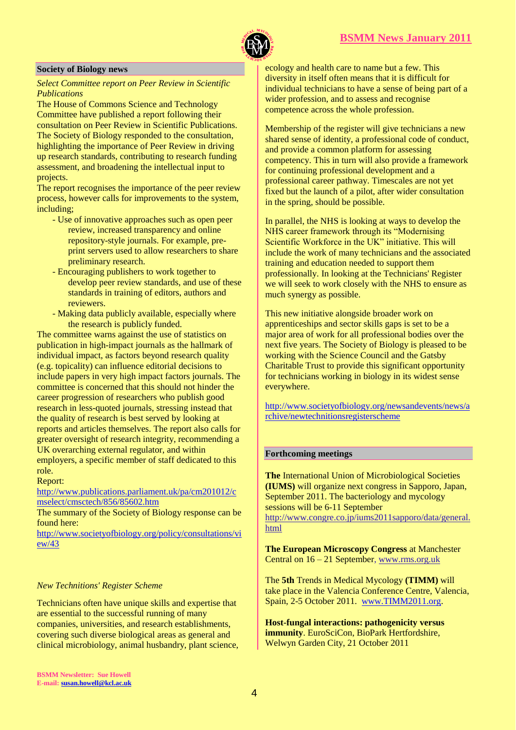

#### **Society of Biology news**

## *Select Committee report on Peer Review in Scientific Publications*

The House of Commons Science and Technology Committee have published a report following their consultation on Peer Review in Scientific Publications. The Society of Biology responded to the consultation, highlighting the importance of Peer Review in driving up research standards, contributing to research funding assessment, and broadening the intellectual input to projects.

The report recognises the importance of the peer review process, however calls for improvements to the system, including;

- Use of innovative approaches such as open peer review, increased transparency and online repository-style journals. For example, preprint servers used to allow researchers to share preliminary research.
- Encouraging publishers to work together to develop peer review standards, and use of these standards in training of editors, authors and reviewers.
- Making data publicly available, especially where the research is publicly funded.

The committee warns against the use of statistics on publication in high-impact journals as the hallmark of individual impact, as factors beyond research quality (e.g. topicality) can influence editorial decisions to include papers in very high impact factors journals. The committee is concerned that this should not hinder the career progression of researchers who publish good research in less-quoted journals, stressing instead that the quality of research is best served by looking at reports and articles themselves. The report also calls for greater oversight of research integrity, recommending a UK overarching external regulator, and within employers, a specific member of staff dedicated to this role.

#### Report:

[http://www.publications.parliament.uk/pa/cm201012/c](https://kclmail.kcl.ac.uk/OWA/redir.aspx?C=de9d7bfca6c74863968e19d9cf3e2730&URL=http%3a%2f%2fwww.publications.parliament.uk%2fpa%2fcm201012%2fcmselect%2fcmsctech%2f856%2f85602.htm) [mselect/cmsctech/856/85602.htm](https://kclmail.kcl.ac.uk/OWA/redir.aspx?C=de9d7bfca6c74863968e19d9cf3e2730&URL=http%3a%2f%2fwww.publications.parliament.uk%2fpa%2fcm201012%2fcmselect%2fcmsctech%2f856%2f85602.htm)

The summary of the Society of Biology response can be found here:

[http://www.societyofbiology.org/policy/consultations/vi](https://kclmail.kcl.ac.uk/OWA/redir.aspx?C=de9d7bfca6c74863968e19d9cf3e2730&URL=http%3a%2f%2fwww.societyofbiology.org%2fpolicy%2fconsultations%2fview%2f43) [ew/43](https://kclmail.kcl.ac.uk/OWA/redir.aspx?C=de9d7bfca6c74863968e19d9cf3e2730&URL=http%3a%2f%2fwww.societyofbiology.org%2fpolicy%2fconsultations%2fview%2f43)

#### *New Technitions' Register Scheme*

Technicians often have unique skills and expertise that are essential to the successful running of many companies, universities, and research establishments, covering such diverse biological areas as general and clinical microbiology, animal husbandry, plant science,

ecology and health care to name but a few. This diversity in itself often means that it is difficult for individual technicians to have a sense of being part of a wider profession, and to assess and recognise competence across the whole profession.

Membership of the register will give technicians a new shared sense of identity, a professional code of conduct, and provide a common platform for assessing competency. This in turn will also provide a framework for continuing professional development and a professional career pathway. Timescales are not yet fixed but the launch of a pilot, after wider consultation in the spring, should be possible.

In parallel, the NHS is looking at ways to develop the NHS career framework through its "Modernising Scientific Workforce in the UK" initiative. This will include the work of many technicians and the associated training and education needed to support them professionally. In looking at the Technicians' Register we will seek to work closely with the NHS to ensure as much synergy as possible.

This new initiative alongside broader work on apprenticeships and sector skills gaps is set to be a major area of work for all professional bodies over the next five years. The Society of Biology is pleased to be working with the Science Council and the Gatsby Charitable Trust to provide this significant opportunity for technicians working in biology in its widest sense everywhere.

[http://www.societyofbiology.org/newsandevents/news/a](http://www.societyofbiology.org/newsandevents/news/archive/newtechnitionsregisterscheme) [rchive/newtechnitionsregisterscheme](http://www.societyofbiology.org/newsandevents/news/archive/newtechnitionsregisterscheme)

## **Forthcoming meetings**

**The** International Union of Microbiological Societies **(IUMS)** will organize next congress in Sapporo, Japan, September 2011. The bacteriology and mycology sessions will be 6-11 September http://www.congre.co.jp/iums2011sapporo/data/general. html

**The European Microscopy Congress** at Manchester Central on 16 – 21 September, [www.rms.org.uk](https://kclmail.kcl.ac.uk/OWA/redir.aspx?C=d37ef5002d1b42b294bc1120b5aa5a2e&URL=http%3a%2f%2fwww.rms.org.uk%2f)

The **5th** Trends in Medical Mycology **(TIMM)** will take place in the Valencia Conference Centre, Valencia, Spain, 2-5 October 2011. [www.TIMM2011.org.](http://t.ymlp146.com/mejanaejbagauhbsanajym/click.php)

**Host-fungal interactions: pathogenicity versus immunity**. EuroSciCon, BioPark Hertfordshire, Welwyn Garden City, 21 October 2011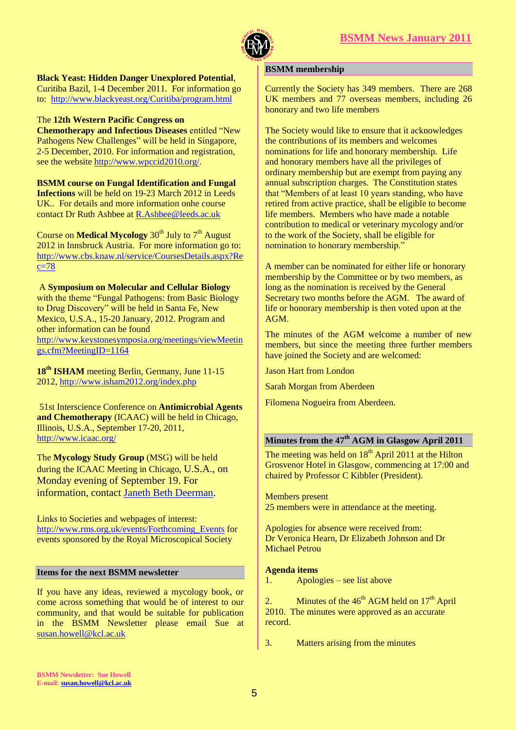

**Black Yeast: Hidden Danger Unexplored Potential**,

Curitiba Bazil, 1-4 December 2011. For information go to: <http://www.blackyeast.org/Curitiba/program.html>

#### The **12th Western Pacific Congress on**

**Chemotherapy and Infectious Diseases** entitled "New Pathogens New Challenges" will be held in Singapore, 2-5 December, 2010. For information and registration, see the websit[e http://www.wpccid2010.org/.](http://www.wpccid2010.org/)

**BSMM course on Fungal Identification and Fungal Infections** will be held on 19-23 March 2012 in Leeds UK.. For details and more information onhe course contact Dr Ruth Ashbee a[t R.Ashbee@leeds.ac.uk](mailto:R.Ashbee@leeds.ac.uk)

Course on **Medical Mycology** 30<sup>th</sup> July to 7<sup>th</sup> August 2012 in Innsbruck Austria. For more information go to: [http://www.cbs.knaw.nl/service/CoursesDetails.aspx?Re](http://www.cbs.knaw.nl/service/CoursesDetails.aspx?Rec=78)  $c=78$ 

A **Symposium on Molecular and Cellular Biology** with the theme "Fungal Pathogens: from Basic Biology to Drug Discovery" will be held in Santa Fe, New Mexico, U.S.A., 15-20 January, 2012. Program and other information can be found [http://www.keystonesymposia.org/meetings/viewMeetin](http://www.keystonesymposia.org/meetings/viewMeetings.cfm?MeetingID=1164) [gs.cfm?MeetingID=1164](http://www.keystonesymposia.org/meetings/viewMeetings.cfm?MeetingID=1164)

18<sup>th</sup> **ISHAM** meeting Berlin, Germany, June 11-15 2012,<http://www.isham2012.org/index.php>

51st Interscience Conference on **Antimicrobial Agents and Chemotherapy** (ICAAC) will be held in Chicago, Illinois, U.S.A., September 17-20, 2011, <http://www.icaac.org/>

The **Mycology Study Group** (MSG) will be held during the ICAAC Meeting in Chicago, U.S.A., on Monday evening of September 19. For information, contact [Janeth Beth Deerman.](https://kclmail.kcl.ac.uk/OWA/redir.aspx?C=de9d7bfca6c74863968e19d9cf3e2730&URL=mailto%3ajbeth%40uab.edu)

Links to Societies and webpages of interest: [http://www.rms.org.uk/events/Forthcoming\\_Events](http://www.rms.org.uk/events/Forthcoming_Events) for events sponsored by the Royal Microscopical Society

#### **Items for the next BSMM newsletter**

If you have any ideas, reviewed a mycology book, or come across something that would be of interest to our community, and that would be suitable for publication in the BSMM Newsletter please email Sue at [susan.howell@kcl.ac.uk](mailto:susan.howell@kcl.ac.uk) 

#### **BSMM membership**

Currently the Society has 349 members. There are 268 UK members and 77 overseas members, including 26 honorary and two life members

The Society would like to ensure that it acknowledges the contributions of its members and welcomes nominations for life and honorary membership. Life and honorary members have all the privileges of ordinary membership but are exempt from paying any annual subscription charges. The Constitution states that "Members of at least 10 years standing, who have retired from active practice, shall be eligible to become life members. Members who have made a notable contribution to medical or veterinary mycology and/or to the work of the Society, shall be eligible for nomination to honorary membership."

A member can be nominated for either life or honorary membership by the Committee or by two members, as long as the nomination is received by the General Secretary two months before the AGM. The award of life or honorary membership is then voted upon at the AGM.

The minutes of the AGM welcome a number of new members, but since the meeting three further members have joined the Society and are welcomed:

Jason Hart from London

Sarah Morgan from Aberdeen

Filomena Nogueira from Aberdeen.

## **Minutes from the 47th AGM in Glasgow April 2011**

The meeting was held on  $18<sup>th</sup>$  April 2011 at the Hilton Grosvenor Hotel in Glasgow, commencing at 17:00 and chaired by Professor C Kibbler (President).

Members present

25 members were in attendance at the meeting.

Apologies for absence were received from: Dr Veronica Hearn, Dr Elizabeth Johnson and Dr Michael Petrou

#### **Agenda items**

1. Apologies – see list above

2. Minutes of the  $46<sup>th</sup>$  AGM held on  $17<sup>th</sup>$  April 2010. The minutes were approved as an accurate record.

3. Matters arising from the minutes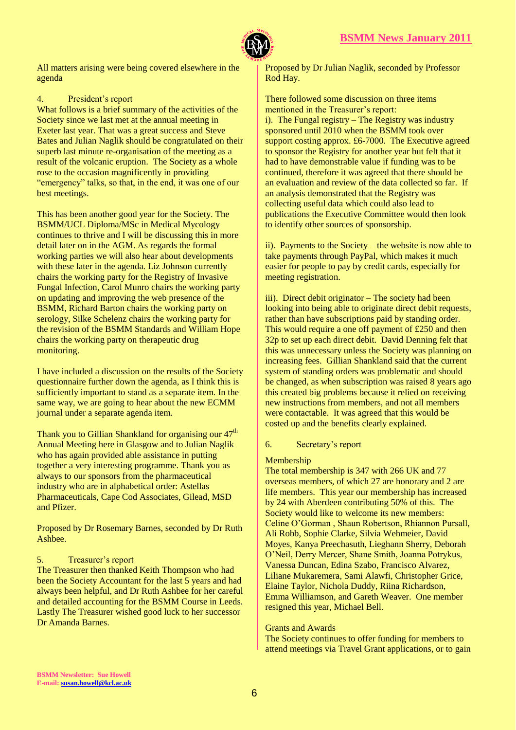

All matters arising were being covered elsewhere in the agenda

## 4. President's report

What follows is a brief summary of the activities of the Society since we last met at the annual meeting in Exeter last year. That was a great success and Steve Bates and Julian Naglik should be congratulated on their superb last minute re-organisation of the meeting as a result of the volcanic eruption. The Society as a whole rose to the occasion magnificently in providing "emergency" talks, so that, in the end, it was one of our best meetings.

This has been another good year for the Society. The BSMM/UCL Diploma/MSc in Medical Mycology continues to thrive and I will be discussing this in more detail later on in the AGM. As regards the formal working parties we will also hear about developments with these later in the agenda. Liz Johnson currently chairs the working party for the Registry of Invasive Fungal Infection, Carol Munro chairs the working party on updating and improving the web presence of the BSMM, Richard Barton chairs the working party on serology, Silke Schelenz chairs the working party for the revision of the BSMM Standards and William Hope chairs the working party on therapeutic drug monitoring.

I have included a discussion on the results of the Society questionnaire further down the agenda, as I think this is sufficiently important to stand as a separate item. In the same way, we are going to hear about the new ECMM journal under a separate agenda item.

Thank you to Gillian Shankland for organising our  $47<sup>th</sup>$ Annual Meeting here in Glasgow and to Julian Naglik who has again provided able assistance in putting together a very interesting programme. Thank you as always to our sponsors from the pharmaceutical industry who are in alphabetical order: Astellas Pharmaceuticals, Cape Cod Associates, Gilead, MSD and Pfizer.

Proposed by Dr Rosemary Barnes, seconded by Dr Ruth Ashbee.

## 5. Treasurer's report

The Treasurer then thanked Keith Thompson who had been the Society Accountant for the last 5 years and had always been helpful, and Dr Ruth Ashbee for her careful and detailed accounting for the BSMM Course in Leeds. Lastly The Treasurer wished good luck to her successor Dr Amanda Barnes.

Proposed by Dr Julian Naglik, seconded by Professor Rod Hay.

There followed some discussion on three items mentioned in the Treasurer's report:

i). The Fungal registry – The Registry was industry sponsored until 2010 when the BSMM took over support costing approx. £6-7000. The Executive agreed to sponsor the Registry for another year but felt that it had to have demonstrable value if funding was to be continued, therefore it was agreed that there should be an evaluation and review of the data collected so far. If an analysis demonstrated that the Registry was collecting useful data which could also lead to publications the Executive Committee would then look to identify other sources of sponsorship.

ii). Payments to the Society – the website is now able to take payments through PayPal, which makes it much easier for people to pay by credit cards, especially for meeting registration.

iii). Direct debit originator – The society had been looking into being able to originate direct debit requests, rather than have subscriptions paid by standing order. This would require a one off payment of £250 and then 32p to set up each direct debit. David Denning felt that this was unnecessary unless the Society was planning on increasing fees. Gillian Shankland said that the current system of standing orders was problematic and should be changed, as when subscription was raised 8 years ago this created big problems because it relied on receiving new instructions from members, and not all members were contactable. It was agreed that this would be costed up and the benefits clearly explained.

## 6. Secretary's report

## Membership

The total membership is 347 with 266 UK and 77 overseas members, of which 27 are honorary and 2 are life members. This year our membership has increased by 24 with Aberdeen contributing 50% of this. The Society would like to welcome its new members: Celine O'Gorman , Shaun Robertson, Rhiannon Pursall, Ali Robb, Sophie Clarke, Silvia Wehmeier, David Moyes, Kanya Preechasuth, Lieghann Sherry, Deborah O'Neil, Derry Mercer, Shane Smith, Joanna Potrykus, Vanessa Duncan, Edina Szabo, Francisco Alvarez, Liliane Mukaremera, Sami Alawfi, Christopher Grice, Elaine Taylor, Nichola Duddy, Riina Richardson, Emma Williamson, and Gareth Weaver. One member resigned this year, Michael Bell.

## Grants and Awards

The Society continues to offer funding for members to attend meetings via Travel Grant applications, or to gain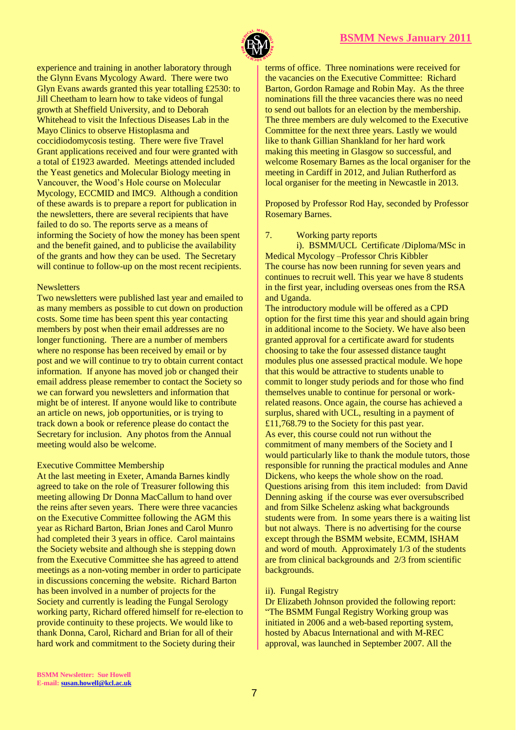

experience and training in another laboratory through the Glynn Evans Mycology Award. There were two Glyn Evans awards granted this year totalling £2530: to Jill Cheetham to learn how to take videos of fungal growth at Sheffield University, and to Deborah Whitehead to visit the Infectious Diseases Lab in the Mayo Clinics to observe Histoplasma and coccidiodomycosis testing. There were five Travel Grant applications received and four were granted with a total of £1923 awarded. Meetings attended included the Yeast genetics and Molecular Biology meeting in Vancouver, the Wood's Hole course on Molecular Mycology, ECCMID and IMC9. Although a condition of these awards is to prepare a report for publication in the newsletters, there are several recipients that have failed to do so. The reports serve as a means of informing the Society of how the money has been spent and the benefit gained, and to publicise the availability of the grants and how they can be used. The Secretary will continue to follow-up on the most recent recipients.

#### **Newsletters**

Two newsletters were published last year and emailed to as many members as possible to cut down on production costs. Some time has been spent this year contacting members by post when their email addresses are no longer functioning. There are a number of members where no response has been received by email or by post and we will continue to try to obtain current contact information. If anyone has moved job or changed their email address please remember to contact the Society so we can forward you newsletters and information that might be of interest. If anyone would like to contribute an article on news, job opportunities, or is trying to track down a book or reference please do contact the Secretary for inclusion. Any photos from the Annual meeting would also be welcome.

## Executive Committee Membership

At the last meeting in Exeter, Amanda Barnes kindly agreed to take on the role of Treasurer following this meeting allowing Dr Donna MacCallum to hand over the reins after seven years. There were three vacancies on the Executive Committee following the AGM this year as Richard Barton, Brian Jones and Carol Munro had completed their 3 years in office. Carol maintains the Society website and although she is stepping down from the Executive Committee she has agreed to attend meetings as a non-voting member in order to participate in discussions concerning the website. Richard Barton has been involved in a number of projects for the Society and currently is leading the Fungal Serology working party, Richard offered himself for re-election to provide continuity to these projects. We would like to thank Donna, Carol, Richard and Brian for all of their hard work and commitment to the Society during their

terms of office. Three nominations were received for the vacancies on the Executive Committee: Richard Barton, Gordon Ramage and Robin May. As the three nominations fill the three vacancies there was no need to send out ballots for an election by the membership. The three members are duly welcomed to the Executive Committee for the next three years. Lastly we would like to thank Gillian Shankland for her hard work making this meeting in Glasgow so successful, and welcome Rosemary Barnes as the local organiser for the meeting in Cardiff in 2012, and Julian Rutherford as local organiser for the meeting in Newcastle in 2013.

Proposed by Professor Rod Hay, seconded by Professor Rosemary Barnes.

#### 7. Working party reports

i). BSMM/UCL Certificate /Diploma/MSc in Medical Mycology –Professor Chris Kibbler The course has now been running for seven years and continues to recruit well. This year we have 8 students in the first year, including overseas ones from the RSA and Uganda.

The introductory module will be offered as a CPD option for the first time this year and should again bring in additional income to the Society. We have also been granted approval for a certificate award for students choosing to take the four assessed distance taught modules plus one assessed practical module. We hope that this would be attractive to students unable to commit to longer study periods and for those who find themselves unable to continue for personal or workrelated reasons. Once again, the course has achieved a surplus, shared with UCL, resulting in a payment of £11,768.79 to the Society for this past year. As ever, this course could not run without the commitment of many members of the Society and I would particularly like to thank the module tutors, those responsible for running the practical modules and Anne Dickens, who keeps the whole show on the road. Questions arising from this item included: from David Denning asking if the course was ever oversubscribed and from Silke Schelenz asking what backgrounds students were from. In some years there is a waiting list but not always. There is no advertising for the course except through the BSMM website, ECMM, ISHAM and word of mouth. Approximately 1/3 of the students are from clinical backgrounds and 2/3 from scientific backgrounds.

## ii). Fungal Registry

Dr Elizabeth Johnson provided the following report: "The BSMM Fungal Registry Working group was initiated in 2006 and a web-based reporting system, hosted by Abacus International and with M-REC approval, was launched in September 2007. All the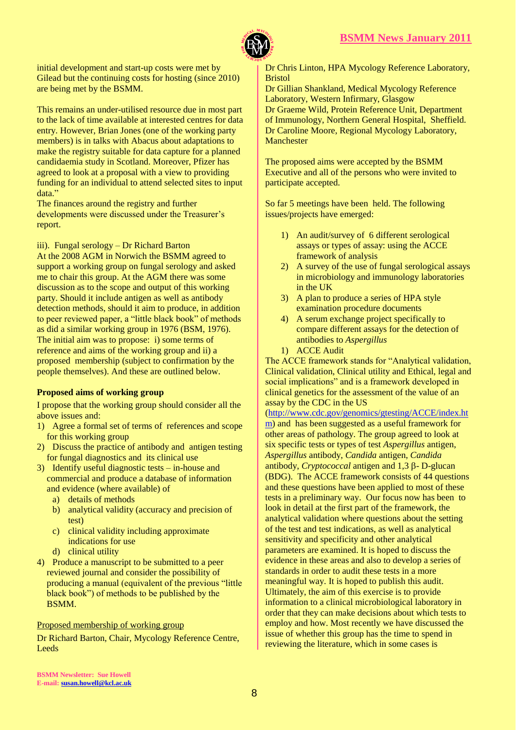

initial development and start-up costs were met by Gilead but the continuing costs for hosting (since 2010) are being met by the BSMM.

This remains an under-utilised resource due in most part to the lack of time available at interested centres for data entry. However, Brian Jones (one of the working party members) is in talks with Abacus about adaptations to make the registry suitable for data capture for a planned candidaemia study in Scotland. Moreover, Pfizer has agreed to look at a proposal with a view to providing funding for an individual to attend selected sites to input data."

The finances around the registry and further developments were discussed under the Treasurer's report.

## iii). Fungal serology – Dr Richard Barton

At the 2008 AGM in Norwich the BSMM agreed to support a working group on fungal serology and asked me to chair this group. At the AGM there was some discussion as to the scope and output of this working party. Should it include antigen as well as antibody detection methods, should it aim to produce, in addition to peer reviewed paper, a "little black book" of methods as did a similar working group in 1976 (BSM, 1976). The initial aim was to propose: i) some terms of reference and aims of the working group and ii) a proposed membership (subject to confirmation by the people themselves). And these are outlined below.

## **Proposed aims of working group**

I propose that the working group should consider all the above issues and:

- 1) Agree a formal set of terms of references and scope for this working group
- 2) Discuss the practice of antibody and antigen testing for fungal diagnostics and its clinical use
- 3) Identify useful diagnostic tests in-house and commercial and produce a database of information and evidence (where available) of
	- a) details of methods
	- b) analytical validity (accuracy and precision of test)
	- c) clinical validity including approximate indications for use
	- d) clinical utility
- 4) Produce a manuscript to be submitted to a peer reviewed journal and consider the possibility of producing a manual (equivalent of the previous "little black book") of methods to be published by the BSMM.

## Proposed membership of working group

Dr Richard Barton, Chair, Mycology Reference Centre, Leeds

Dr Chris Linton, HPA Mycology Reference Laboratory, Bristol

Dr Gillian Shankland, Medical Mycology Reference Laboratory, Western Infirmary, Glasgow Dr Graeme Wild, Protein Reference Unit, Department of Immunology, Northern General Hospital, Sheffield. Dr Caroline Moore, Regional Mycology Laboratory, Manchester

The proposed aims were accepted by the BSMM Executive and all of the persons who were invited to participate accepted.

So far 5 meetings have been held. The following issues/projects have emerged:

- 1) An audit/survey of 6 different serological assays or types of assay: using the ACCE framework of analysis
- 2) A survey of the use of fungal serological assays in microbiology and immunology laboratories in the UK
- 3) A plan to produce a series of HPA style examination procedure documents
- 4) A serum exchange project specifically to compare different assays for the detection of antibodies to *Aspergillus*
- 1) ACCE Audit

The ACCE framework stands for "Analytical validation, Clinical validation, Clinical utility and Ethical, legal and social implications" and is a framework developed in clinical genetics for the assessment of the value of an assay by the CDC in the US

[\(http://www.cdc.gov/genomics/gtesting/ACCE/index.ht](http://www.cdc.gov/genomics/gtesting/ACCE/index.htm) [m\)](http://www.cdc.gov/genomics/gtesting/ACCE/index.htm) and has been suggested as a useful framework for other areas of pathology. The group agreed to look at six specific tests or types of test *Aspergillus* antigen, *Aspergillus* antibody, *Candida* antigen, *Candida* antibody, *Cryptococcal* antigen and 1,3 ß- D-glucan (BDG). The ACCE framework consists of 44 questions and these questions have been applied to most of these tests in a preliminary way. Our focus now has been to look in detail at the first part of the framework, the analytical validation where questions about the setting of the test and test indications, as well as analytical sensitivity and specificity and other analytical parameters are examined. It is hoped to discuss the evidence in these areas and also to develop a series of standards in order to audit these tests in a more meaningful way. It is hoped to publish this audit. Ultimately, the aim of this exercise is to provide information to a clinical microbiological laboratory in order that they can make decisions about which tests to employ and how. Most recently we have discussed the issue of whether this group has the time to spend in reviewing the literature, which in some cases is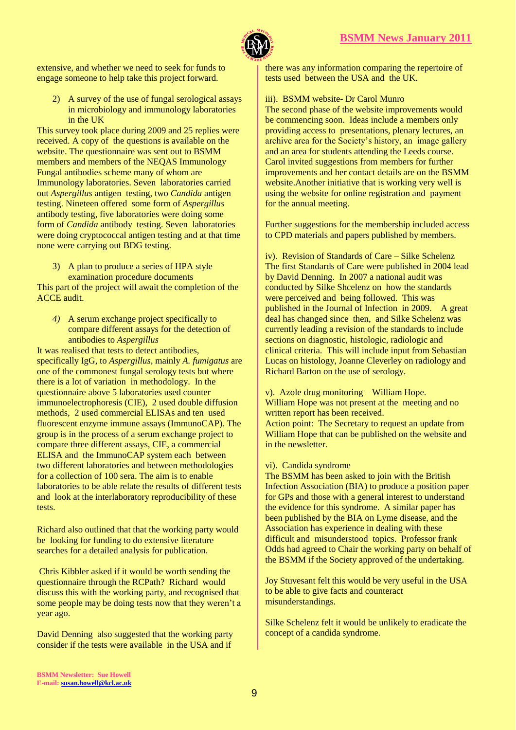

extensive, and whether we need to seek for funds to engage someone to help take this project forward.

2) A survey of the use of fungal serological assays in microbiology and immunology laboratories in the UK

This survey took place during 2009 and 25 replies were received. A copy of the questions is available on the website. The questionnaire was sent out to BSMM members and members of the NEQAS Immunology Fungal antibodies scheme many of whom are Immunology laboratories. Seven laboratories carried out *Aspergillus* antigen testing, two *Candida* antigen testing. Nineteen offered some form of *Aspergillus*  antibody testing, five laboratories were doing some form of *Candida* antibody testing. Seven laboratories were doing cryptococcal antigen testing and at that time none were carrying out BDG testing.

#### 3) A plan to produce a series of HPA style examination procedure documents

This part of the project will await the completion of the ACCE audit.

*4)* A serum exchange project specifically to compare different assays for the detection of antibodies to *Aspergillus*

It was realised that tests to detect antibodies, specifically IgG, to *Aspergillus,* mainly *A. fumigatus* are one of the commonest fungal serology tests but where there is a lot of variation in methodology. In the questionnaire above 5 laboratories used counter immunoelectrophoresis (CIE), 2 used double diffusion methods, 2 used commercial ELISAs and ten used fluorescent enzyme immune assays (ImmunoCAP). The group is in the process of a serum exchange project to compare three different assays, CIE, a commercial ELISA and the ImmunoCAP system each between two different laboratories and between methodologies for a collection of 100 sera. The aim is to enable laboratories to be able relate the results of different tests and look at the interlaboratory reproducibility of these tests.

Richard also outlined that that the working party would be looking for funding to do extensive literature searches for a detailed analysis for publication.

Chris Kibbler asked if it would be worth sending the questionnaire through the RCPath? Richard would discuss this with the working party, and recognised that some people may be doing tests now that they weren't a year ago.

David Denning also suggested that the working party consider if the tests were available in the USA and if

there was any information comparing the repertoire of tests used between the USA and the UK.

## iii). BSMM website- Dr Carol Munro

The second phase of the website improvements would be commencing soon. Ideas include a members only providing access to presentations, plenary lectures, an archive area for the Society's history, an image gallery and an area for students attending the Leeds course. Carol invited suggestions from members for further improvements and her contact details are on the BSMM website.Another initiative that is working very well is using the website for online registration and payment for the annual meeting.

Further suggestions for the membership included access to CPD materials and papers published by members.

iv). Revision of Standards of Care – Silke Schelenz The first Standards of Care were published in 2004 lead by David Denning. In 2007 a national audit was conducted by Silke Shcelenz on how the standards were perceived and being followed. This was published in the Journal of Infection in 2009. A great deal has changed since then, and Silke Schelenz was currently leading a revision of the standards to include sections on diagnostic, histologic, radiologic and clinical criteria. This will include input from Sebastian Lucas on histology, Joanne Cleverley on radiology and Richard Barton on the use of serology.

#### v). Azole drug monitoring – William Hope.

William Hope was not present at the meeting and no written report has been received.

Action point: The Secretary to request an update from William Hope that can be published on the website and in the newsletter.

#### vi). Candida syndrome

The BSMM has been asked to join with the British Infection Association (BIA) to produce a position paper for GPs and those with a general interest to understand the evidence for this syndrome. A similar paper has been published by the BIA on Lyme disease, and the Association has experience in dealing with these difficult and misunderstood topics. Professor frank Odds had agreed to Chair the working party on behalf of the BSMM if the Society approved of the undertaking.

Joy Stuvesant felt this would be very useful in the USA to be able to give facts and counteract misunderstandings.

Silke Schelenz felt it would be unlikely to eradicate the concept of a candida syndrome.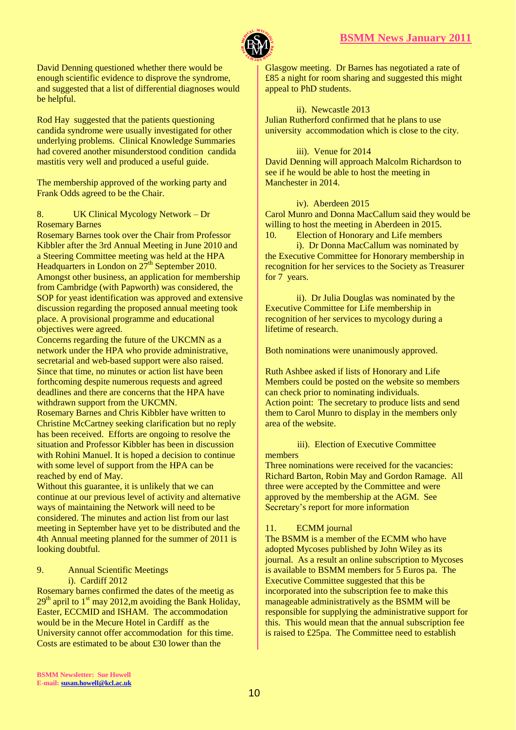

David Denning questioned whether there would be enough scientific evidence to disprove the syndrome, and suggested that a list of differential diagnoses would be helpful.

Rod Hay suggested that the patients questioning candida syndrome were usually investigated for other underlying problems. Clinical Knowledge Summaries had covered another misunderstood condition candida mastitis very well and produced a useful guide.

The membership approved of the working party and Frank Odds agreed to be the Chair.

## 8. UK Clinical Mycology Network – Dr Rosemary Barnes

Rosemary Barnes took over the Chair from Professor Kibbler after the 3rd Annual Meeting in June 2010 and a Steering Committee meeting was held at the HPA Headquarters in London on  $27<sup>th</sup>$  September 2010. Amongst other business, an application for membership from Cambridge (with Papworth) was considered, the SOP for yeast identification was approved and extensive discussion regarding the proposed annual meeting took place. A provisional programme and educational objectives were agreed.

Concerns regarding the future of the UKCMN as a network under the HPA who provide administrative, secretarial and web-based support were also raised. Since that time, no minutes or action list have been forthcoming despite numerous requests and agreed deadlines and there are concerns that the HPA have withdrawn support from the UKCMN.

Rosemary Barnes and Chris Kibbler have written to Christine McCartney seeking clarification but no reply has been received. Efforts are ongoing to resolve the situation and Professor Kibbler has been in discussion with Rohini Manuel. It is hoped a decision to continue with some level of support from the HPA can be reached by end of May.

Without this guarantee, it is unlikely that we can continue at our previous level of activity and alternative ways of maintaining the Network will need to be considered. The minutes and action list from our last meeting in September have yet to be distributed and the 4th Annual meeting planned for the summer of 2011 is looking doubtful.

9. Annual Scientific Meetings i). Cardiff 2012

Rosemary barnes confirmed the dates of the meetig as  $29<sup>th</sup>$  april to 1<sup>st</sup> may 2012, m avoiding the Bank Holiday, Easter, ECCMID and ISHAM. The accommodation would be in the Mecure Hotel in Cardiff as the University cannot offer accommodation for this time. Costs are estimated to be about £30 lower than the

Glasgow meeting. Dr Barnes has negotiated a rate of £85 a night for room sharing and suggested this might appeal to PhD students.

ii). Newcastle 2013 Julian Rutherford confirmed that he plans to use university accommodation which is close to the city.

# iii). Venue for 2014 David Denning will approach Malcolm Richardson to

see if he would be able to host the meeting in Manchester in 2014.

## iv). Aberdeen 2015

Carol Munro and Donna MacCallum said they would be willing to host the meeting in Aberdeen in 2015. 10. Election of Honorary and Life members

i). Dr Donna MacCallum was nominated by the Executive Committee for Honorary membership in recognition for her services to the Society as Treasurer for 7 years.

ii). Dr Julia Douglas was nominated by the Executive Committee for Life membership in recognition of her services to mycology during a lifetime of research.

Both nominations were unanimously approved.

Ruth Ashbee asked if lists of Honorary and Life Members could be posted on the website so members can check prior to nominating individuals. Action point: The secretary to produce lists and send them to Carol Munro to display in the members only area of the website.

## iii). Election of Executive Committee

members

Three nominations were received for the vacancies: Richard Barton, Robin May and Gordon Ramage. All three were accepted by the Committee and were approved by the membership at the AGM. See Secretary's report for more information

## 11. ECMM journal

The BSMM is a member of the ECMM who have adopted Mycoses published by John Wiley as its journal. As a result an online subscription to Mycoses is available to BSMM members for 5 Euros pa. The Executive Committee suggested that this be incorporated into the subscription fee to make this manageable administratively as the BSMM will be responsible for supplying the administrative support for this. This would mean that the annual subscription fee is raised to £25pa. The Committee need to establish